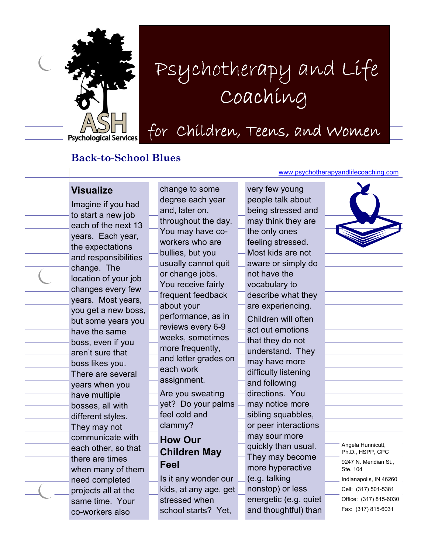

# Psychotherapy and Li Coaching Psychotherapy and Life Coaching

for Children, Teens, and Women

#### Back-to-School Blues

#### Visualize

Imagine if you had to start a new job each of the next 13 years. Each year, the expectations and responsibilities change. The location of your job changes every few years. Most years, you get a new boss, but some years you have the same boss, even if you aren't sure that boss likes you. There are several years when you have multiple bosses, all with different styles. They may not communicate with each other, so that there are times when many of them need completed projects all at the same time. Your co-workers also

change to some degree each year and, later on, throughout the day. You may have coworkers who are bullies, but you usually cannot quit or change jobs. You receive fairly frequent feedback about your performance, as in reviews every 6-9 weeks, sometimes more frequently, and letter grades on each work assignment. Are you sweating yet? Do your palms feel cold and clammy? How Our Children May Feel Is it any wonder our

kids, at any age, get

stressed when school starts? Yet, www.psychotherapyandlifecoaching.com

| very few young        |  |
|-----------------------|--|
| people talk about     |  |
| being stressed and    |  |
| may think they are    |  |
| the only ones         |  |
| feeling stressed.     |  |
| Most kids are not     |  |
| aware or simply do    |  |
| not have the          |  |
| vocabulary to         |  |
| describe what they    |  |
| are experiencing.     |  |
| Children will often   |  |
| act out emotions      |  |
| that they do not      |  |
| understand. They      |  |
| may have more         |  |
| difficulty listening  |  |
| and following         |  |
| directions. You       |  |
| may notice more       |  |
| sibling squabbles,    |  |
| or peer interactions  |  |
| may sour more         |  |
| quickly than usual.   |  |
| They may become       |  |
| more hyperactive      |  |
| (e.g. talking         |  |
| nonstop) or less      |  |
| energetic (e.g. quiet |  |
| and thoughtful) than  |  |



Angela Hunnicutt, Ph.D., HSPP, CPC 9247 N. Meridian St.,

Ste. 104 Indianapolis, IN 46260

Cell: (317) 501-5381

Office: (317) 815-6030

Fax: (317) 815-6031